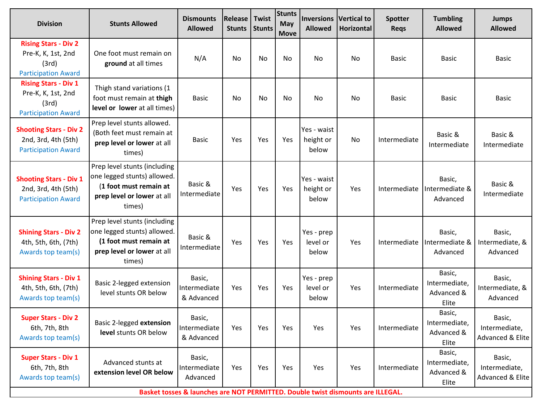| <b>Division</b>                                                                          | <b>Stunts Allowed</b>                                                                                                         | <b>Dismounts</b><br><b>Allowed</b>   | Release<br><b>Stunts</b> | Twist<br><b>Stunts</b> | <b>Stunts</b><br>May<br><b>Move</b> | <b>Allowed</b>                    | <b>Inversions Vertical to</b><br>Horizontal | <b>Spotter</b><br><b>Reqs</b> | <b>Tumbling</b><br><b>Allowed</b>              | <b>Jumps</b><br><b>Allowed</b>              |
|------------------------------------------------------------------------------------------|-------------------------------------------------------------------------------------------------------------------------------|--------------------------------------|--------------------------|------------------------|-------------------------------------|-----------------------------------|---------------------------------------------|-------------------------------|------------------------------------------------|---------------------------------------------|
| <b>Rising Stars - Div 2</b><br>Pre-K, K, 1st, 2nd<br>(3rd)<br><b>Participation Award</b> | One foot must remain on<br>ground at all times                                                                                | N/A                                  | No                       | <b>No</b>              | No                                  | No                                | No                                          | <b>Basic</b>                  | <b>Basic</b>                                   | <b>Basic</b>                                |
| <b>Rising Stars - Div 1</b><br>Pre-K, K, 1st, 2nd<br>(3rd)<br><b>Participation Award</b> | Thigh stand variations (1<br>foot must remain at thigh<br>level or lower at all times)                                        | <b>Basic</b>                         | <b>No</b>                | No                     | No                                  | No                                | No                                          | <b>Basic</b>                  | <b>Basic</b>                                   | <b>Basic</b>                                |
| <b>Shooting Stars - Div 2</b><br>2nd, 3rd, 4th (5th)<br><b>Participation Award</b>       | Prep level stunts allowed.<br>(Both feet must remain at<br>prep level or lower at all<br>times)                               | <b>Basic</b>                         | Yes                      | Yes                    | Yes                                 | Yes - waist<br>height or<br>below | No                                          | Intermediate                  | Basic &<br>Intermediate                        | Basic &<br>Intermediate                     |
| <b>Shooting Stars - Div 1</b><br>2nd, 3rd, 4th (5th)<br><b>Participation Award</b>       | Prep level stunts (including<br>one legged stunts) allowed.<br>(1 foot must remain at<br>prep level or lower at all<br>times) | Basic &<br>Intermediate              | Yes                      | Yes                    | Yes                                 | Yes - waist<br>height or<br>below | Yes                                         | Intermediate                  | Basic,<br>Intermediate &<br>Advanced           | Basic &<br>Intermediate                     |
| <b>Shining Stars - Div 2</b><br>4th, 5th, 6th, (7th)<br>Awards top team(s)               | Prep level stunts (including<br>one legged stunts) allowed.<br>(1 foot must remain at<br>prep level or lower at all<br>times) | Basic &<br>Intermediate              | Yes                      | Yes                    | Yes                                 | Yes - prep<br>level or<br>below   | Yes                                         | Intermediate                  | Basic,<br>Intermediate &<br>Advanced           | Basic,<br>Intermediate, &<br>Advanced       |
| <b>Shining Stars - Div 1</b><br>4th, 5th, 6th, (7th)<br>Awards top team(s)               | Basic 2-legged extension<br>level stunts OR below                                                                             | Basic,<br>Intermediate<br>& Advanced | Yes                      | Yes                    | Yes                                 | Yes - prep<br>level or<br>below   | Yes                                         | Intermediate                  | Basic,<br>Intermediate,<br>Advanced &<br>Elite | Basic,<br>Intermediate, &<br>Advanced       |
| <b>Super Stars - Div 2</b><br>6th, 7th, 8th<br>Awards top team(s)                        | Basic 2-legged extension<br>level stunts OR below                                                                             | Basic,<br>Intermediate<br>& Advanced | Yes                      | Yes                    | Yes                                 | Yes                               | Yes                                         | Intermediate                  | Basic,<br>Intermediate,<br>Advanced &<br>Elite | Basic,<br>Intermediate,<br>Advanced & Elite |
| <b>Super Stars - Div 1</b><br>6th, 7th, 8th<br>Awards top team(s)                        | Advanced stunts at<br>extension level OR below                                                                                | Basic,<br>Intermediate<br>Advanced   | Yes                      | Yes                    | Yes                                 | Yes                               | Yes                                         | Intermediate                  | Basic,<br>Intermediate,<br>Advanced &<br>Elite | Basic,<br>Intermediate,<br>Advanced & Elite |
| Basket tosses & launches are NOT PERMITTED. Double twist dismounts are ILLEGAL.          |                                                                                                                               |                                      |                          |                        |                                     |                                   |                                             |                               |                                                |                                             |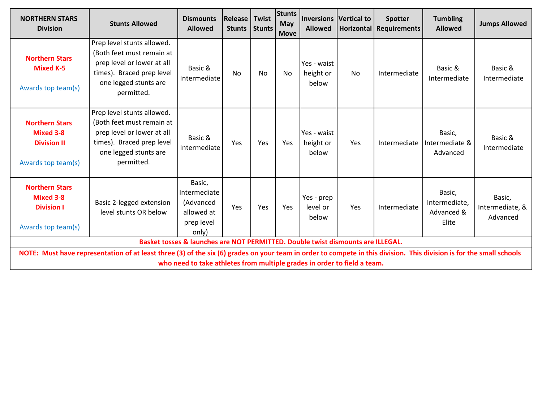| <b>NORTHERN STARS</b><br><b>Division</b>                                                                                                                                                                                                         | <b>Stunts Allowed</b>                                                                                                                                     | <b>Dismounts</b><br><b>Allowed</b>                                       | Release<br><b>Stunts</b> | Twist<br><b>Stunts</b> | <b>Stunts</b><br>May<br><b>Move</b> | <b>Allowed</b>                    | <b>Inversions Vertical to</b> | <b>Spotter</b><br>Horizontal Requirements | <b>Tumbling</b><br><b>Allowed</b>              | <b>Jumps Allowed</b>                  |
|--------------------------------------------------------------------------------------------------------------------------------------------------------------------------------------------------------------------------------------------------|-----------------------------------------------------------------------------------------------------------------------------------------------------------|--------------------------------------------------------------------------|--------------------------|------------------------|-------------------------------------|-----------------------------------|-------------------------------|-------------------------------------------|------------------------------------------------|---------------------------------------|
| <b>Northern Stars</b><br><b>Mixed K-5</b><br>Awards top team(s)                                                                                                                                                                                  | Prep level stunts allowed.<br>(Both feet must remain at<br>prep level or lower at all<br>times). Braced prep level<br>one legged stunts are<br>permitted. | Basic &<br>Intermediate                                                  | <b>No</b>                | <b>No</b>              | No                                  | Yes - waist<br>height or<br>below | No                            | Intermediate                              | Basic &<br>Intermediate                        | Basic &<br>Intermediate               |
| <b>Northern Stars</b><br>Mixed 3-8<br><b>Division II</b><br>Awards top team(s)                                                                                                                                                                   | Prep level stunts allowed.<br>(Both feet must remain at<br>prep level or lower at all<br>times). Braced prep level<br>one legged stunts are<br>permitted. | Basic &<br>Intermediate                                                  | Yes                      | Yes                    | Yes                                 | Yes - waist<br>height or<br>below | Yes                           | Intermediate                              | Basic,<br>Intermediate &<br>Advanced           | Basic &<br>Intermediate               |
| <b>Northern Stars</b><br>Mixed 3-8<br><b>Division I</b><br>Awards top team(s)                                                                                                                                                                    | Basic 2-legged extension<br>level stunts OR below                                                                                                         | Basic,<br>Intermediate<br>(Advanced<br>allowed at<br>prep level<br>only) | Yes                      | Yes                    | <b>Yes</b>                          | Yes - prep<br>level or<br>below   | Yes                           | Intermediate                              | Basic,<br>Intermediate,<br>Advanced &<br>Elite | Basic,<br>Intermediate, &<br>Advanced |
| Basket tosses & launches are NOT PERMITTED. Double twist dismounts are ILLEGAL.                                                                                                                                                                  |                                                                                                                                                           |                                                                          |                          |                        |                                     |                                   |                               |                                           |                                                |                                       |
| NOTE: Must have representation of at least three (3) of the six (6) grades on your team in order to compete in this division. This division is for the small schools<br>who need to take athletes from multiple grades in order to field a team. |                                                                                                                                                           |                                                                          |                          |                        |                                     |                                   |                               |                                           |                                                |                                       |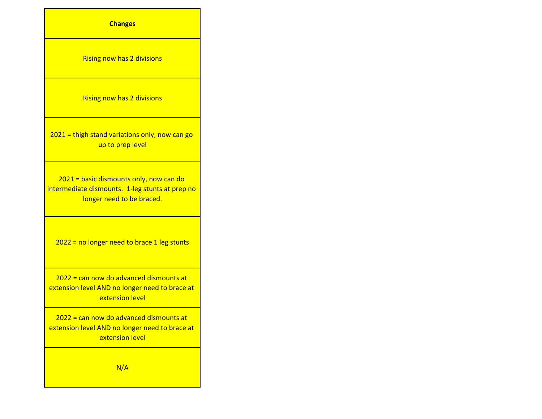| <b>Changes</b>                                                                                                          |
|-------------------------------------------------------------------------------------------------------------------------|
| <b>Rising now has 2 divisions</b>                                                                                       |
| <b>Rising now has 2 divisions</b>                                                                                       |
| 2021 = thigh stand variations only, now can go<br>up to prep level                                                      |
| 2021 = basic dismounts only, now can do<br>intermediate dismounts. 1-leg stunts at prep no<br>longer need to be braced. |
| $2022$ = no longer need to brace 1 leg stunts                                                                           |
| 2022 = can now do advanced dismounts at<br>extension level AND no longer need to brace at<br>extension level            |
| 2022 = can now do advanced dismounts at<br>extension level AND no longer need to brace at<br>extension level            |
| N/A                                                                                                                     |